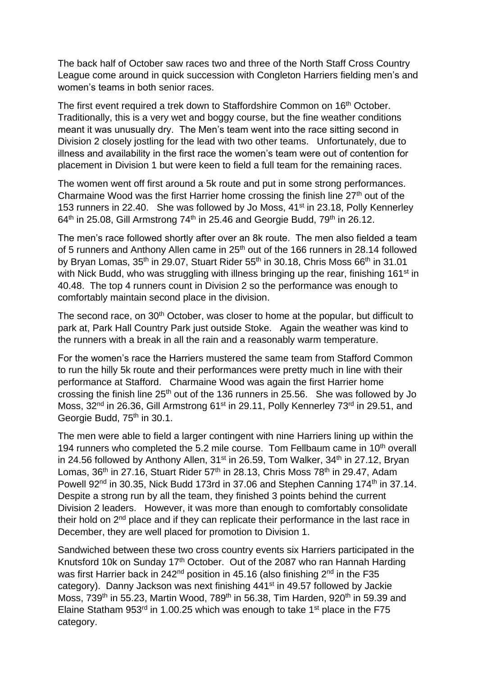The back half of October saw races two and three of the North Staff Cross Country League come around in quick succession with Congleton Harriers fielding men's and women's teams in both senior races.

The first event required a trek down to Staffordshire Common on 16<sup>th</sup> October. Traditionally, this is a very wet and boggy course, but the fine weather conditions meant it was unusually dry. The Men's team went into the race sitting second in Division 2 closely jostling for the lead with two other teams. Unfortunately, due to illness and availability in the first race the women's team were out of contention for placement in Division 1 but were keen to field a full team for the remaining races.

The women went off first around a 5k route and put in some strong performances. Charmaine Wood was the first Harrier home crossing the finish line 27<sup>th</sup> out of the 153 runners in 22.40. She was followed by Jo Moss, 41<sup>st</sup> in 23.18, Polly Kennerley  $64<sup>th</sup>$  in 25.08, Gill Armstrong 74<sup>th</sup> in 25.46 and Georgie Budd, 79<sup>th</sup> in 26.12.

The men's race followed shortly after over an 8k route. The men also fielded a team of 5 runners and Anthony Allen came in 25<sup>th</sup> out of the 166 runners in 28.14 followed by Bryan Lomas,  $35<sup>th</sup>$  in 29.07, Stuart Rider  $55<sup>th</sup>$  in 30.18, Chris Moss  $66<sup>th</sup>$  in 31.01 with Nick Budd, who was struggling with illness bringing up the rear, finishing 161<sup>st</sup> in 40.48. The top 4 runners count in Division 2 so the performance was enough to comfortably maintain second place in the division.

The second race, on 30<sup>th</sup> October, was closer to home at the popular, but difficult to park at, Park Hall Country Park just outside Stoke. Again the weather was kind to the runners with a break in all the rain and a reasonably warm temperature.

For the women's race the Harriers mustered the same team from Stafford Common to run the hilly 5k route and their performances were pretty much in line with their performance at Stafford. Charmaine Wood was again the first Harrier home crossing the finish line  $25<sup>th</sup>$  out of the 136 runners in 25.56. She was followed by Jo Moss, 32<sup>nd</sup> in 26.36, Gill Armstrong 61<sup>st</sup> in 29.11, Polly Kennerley 73<sup>rd</sup> in 29.51, and Georgie Budd, 75<sup>th</sup> in 30.1.

The men were able to field a larger contingent with nine Harriers lining up within the 194 runners who completed the 5.2 mile course. Tom Fellbaum came in  $10<sup>th</sup>$  overall in 24.56 followed by Anthony Allen,  $31<sup>st</sup>$  in 26.59, Tom Walker,  $34<sup>th</sup>$  in 27.12, Bryan Lomas,  $36<sup>th</sup>$  in 27.16, Stuart Rider 57<sup>th</sup> in 28.13, Chris Moss 78<sup>th</sup> in 29.47, Adam Powell 92<sup>nd</sup> in 30.35, Nick Budd 173rd in 37.06 and Stephen Canning 174<sup>th</sup> in 37.14. Despite a strong run by all the team, they finished 3 points behind the current Division 2 leaders. However, it was more than enough to comfortably consolidate their hold on 2nd place and if they can replicate their performance in the last race in December, they are well placed for promotion to Division 1.

Sandwiched between these two cross country events six Harriers participated in the Knutsford 10k on Sunday 17<sup>th</sup> October. Out of the 2087 who ran Hannah Harding was first Harrier back in 242<sup>nd</sup> position in 45.16 (also finishing 2<sup>nd</sup> in the F35 category). Danny Jackson was next finishing 441<sup>st</sup> in 49.57 followed by Jackie Moss, 739<sup>th</sup> in 55.23, Martin Wood, 789<sup>th</sup> in 56.38, Tim Harden, 920<sup>th</sup> in 59.39 and Elaine Statham 953 $^{rd}$  in 1.00.25 which was enough to take 1<sup>st</sup> place in the F75 category.